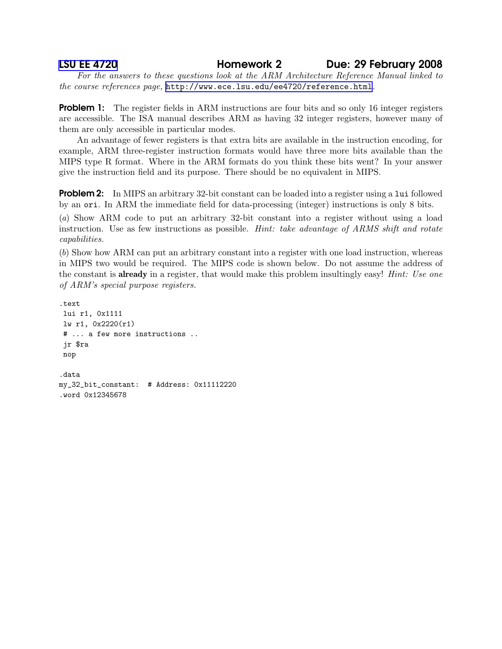## [LSU EE 4720](http://www.ece.lsu.edu/ee4720/) Homework 2 Due: 29 February 2008

For the answers to these questions look at the ARM Architecture Reference Manual linked to the course references page, <http://www.ece.lsu.edu/ee4720/reference.html>.

**Problem 1:** The register fields in ARM instructions are four bits and so only 16 integer registers are accessible. The ISA manual describes ARM as having 32 integer registers, however many of them are only accessible in particular modes.

An advantage of fewer registers is that extra bits are available in the instruction encoding, for example, ARM three-register instruction formats would have three more bits available than the MIPS type R format. Where in the ARM formats do you think these bits went? In your answer give the instruction field and its purpose. There should be no equivalent in MIPS.

**Problem 2:** In MIPS an arbitrary 32-bit constant can be loaded into a register using a lui followed by an ori. In ARM the immediate field for data-processing (integer) instructions is only 8 bits.

(a) Show ARM code to put an arbitrary 32-bit constant into a register without using a load instruction. Use as few instructions as possible. *Hint: take advantage of ARMS shift and rotate* capabilities.

(b) Show how ARM can put an arbitrary constant into a register with one load instruction, whereas in MIPS two would be required. The MIPS code is shown below. Do not assume the address of the constant is **already** in a register, that would make this problem insultingly easy! *Hint: Use one* of ARM's special purpose registers.

```
.text
lui r1, 0x1111
lw r1, 0x2220(r1)
# ... a few more instructions ..
jr $ra
nop
.data
my_32_bit_constant: # Address: 0x11112220
.word 0x12345678
```